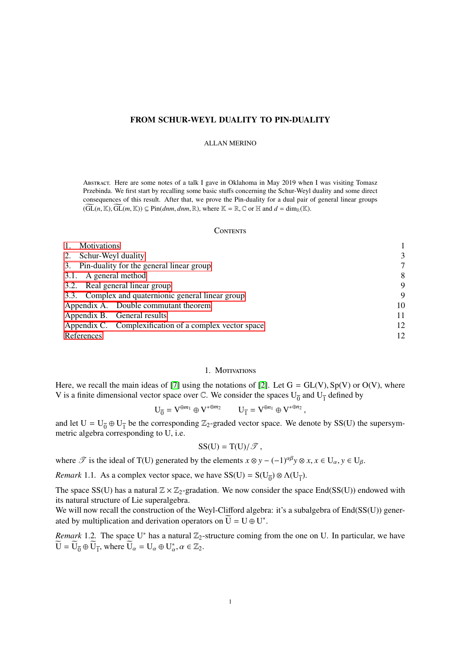# FROM SCHUR-WEYL DUALITY TO PIN-DUALITY

### ALLAN MERINO

Abstract. Here are some notes of a talk I gave in Oklahoma in May 2019 when I was visiting Tomasz Przebinda. We first start by recalling some basic stuffs concerning the Schur-Weyl duality and some direct consequences of this result. After that, we prove the Pin-duality for a dual pair of general linear groups  $(\widetilde{GL}(n,\mathbb{K}),\widetilde{GL}(m,\mathbb{K}))\subseteq \text{Pin}(dnm,dnm,\mathbb{R})$ , where  $\mathbb{K}=\mathbb{R},\mathbb{C}$  or  $\mathbb H$  and  $d=\dim_{\mathbb{R}}(\mathbb{K})$ .

### **CONTENTS**

| Motivations                                            |    |
|--------------------------------------------------------|----|
| Schur-Weyl duality<br>2.                               |    |
| Pin-duality for the general linear group<br>3.         |    |
| 3.1. A general method                                  | 8  |
| 3.2. Real general linear group                         | 9  |
| 3.3. Complex and quaternionic general linear group     | 9  |
| Appendix A. Double commutant theorem                   | 10 |
| Appendix B. General results                            | 11 |
| Appendix C. Complexification of a complex vector space | 12 |
| References                                             | 12 |

# 1. MOTIVATIONS

<span id="page-0-0"></span>Here, we recall the main ideas of [\[7\]](#page-11-2) using the notations of [\[2\]](#page-11-3). Let  $G = GL(V)$ , Sp(V) or O(V), where V is a finite dimensional vector space over  $\mathbb C$ . We consider the spaces  $U_{\overline{0}}$  and  $U_{\overline{1}}$  defined by

$$
U_{\overline{0}} = V^{\oplus m_1} \oplus V^{*\oplus m_2} \qquad U_{\overline{1}} = V^{\oplus n_1} \oplus V^{*\oplus n_2},
$$

and let  $U = U_{\overline{0}} \oplus U_{\overline{1}}$  be the corresponding  $\mathbb{Z}_2$ -graded vector space. We denote by SS(U) the supersymmetric algebra corresponding to U, i.e.

$$
SS(U) = T(U)/\mathcal{T},
$$

where  $\mathscr{T}$  is the ideal of T(U) generated by the elements  $x \otimes y - (-1)^{\alpha\beta} y \otimes x, x \in U_\alpha, y \in U_\beta$ .

*Remark* 1.1. As a complex vector space, we have  $SS(U) = S(U_{\overline{0}}) \otimes \Lambda(U_{\overline{1}})$ .

The space SS(U) has a natural  $\mathbb{Z} \times \mathbb{Z}_2$ -gradation. We now consider the space End(SS(U)) endowed with its natural structure of Lie superalgebra.

We will now recall the construction of the Weyl-Clifford algebra: it's a subalgebra of End(SS(U)) generated by multiplication and derivation operators on  $\widetilde{U} = U \oplus U^*$ .

*Remark* 1.2. The space U<sup>\*</sup> has a natural  $\mathbb{Z}_2$ -structure coming from the one on U. In particular, we have  $\widetilde{U} = \widetilde{U}_{\overline{0}} \oplus \widetilde{U}_{\overline{1}}$ , where  $\widetilde{U}_{\alpha} = U_{\alpha} \oplus U_{\alpha}^*$ ,  $\alpha \in \mathbb{Z}_2$ .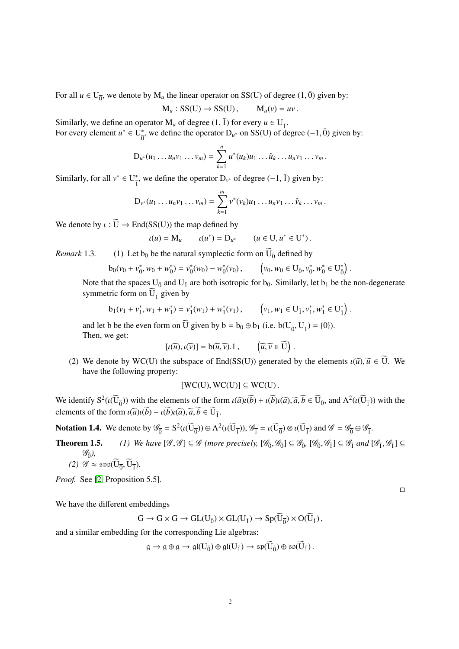For all  $u \in U_{\overline{0}}$ , we denote by  $M_u$  the linear operator on SS(U) of degree (1,  $\overline{0}$ ) given by:

$$
M_u: SS(U) \to SS(U), \qquad M_u(v) = uv.
$$

Similarly, we define an operator  $M_u$  of degree  $(1, \overline{1})$  for every  $u \in U_{\overline{1}}$ .<br>For every element  $u^* \in H^*$  we define the operator  $D_{\overline{1}}$  on SS(II) of de-For every element  $u^* \in U^*_{\overline{Q}}$ <sup>\*</sup><sub>0</sub>, we define the operator D<sub>*u*</sub><sup>\*</sup> on SS(U) of degree (−1,  $\bar{0}$ ) given by:

$$
D_{u^*}(u_1 \ldots u_n v_1 \ldots v_m) = \sum_{k=1}^n u^*(u_k) u_1 \ldots \hat{u}_k \ldots u_n v_1 \ldots v_m.
$$

Similarly, for all  $v^* \in U^*_{\overline{v}}$ <sup>\*</sup><sub>1</sub>, we define the operator  $D_{v^*}$  of degree  $(-1, \bar{1})$  given by:

$$
D_{\nu^*}(u_1 \ldots u_n v_1 \ldots v_m) = \sum_{k=1}^m \nu^*(v_k) u_1 \ldots u_n v_1 \ldots \hat{v}_k \ldots v_m.
$$

We denote by  $\iota : \widetilde{U} \to End(SS(U))$  the map defined by

$$
u(u) = \mathbf{M}_u \qquad u(u^*) = \mathbf{D}_{u^*} \qquad (u \in \mathbf{U}, u^* \in \mathbf{U}^*).
$$

*Remark* 1.3. (1) Let  $b_0$  be the natural symplectic form on  $U_{\bar{0}}$  defined by

$$
b_0(\nu_0 + \nu_0^*, \nu_0 + \nu_0^*) = \nu_0^*(\nu_0) - \nu_0^*(\nu_0), \qquad \left(\nu_0, \nu_0 \in U_{\bar{0}}, \nu_0^*, \nu_0^* \in U_{\bar{0}}^*\right).
$$

Note that the spaces  $U_{\bar{0}}$  and  $U_{\bar{1}}$  are both isotropic for  $b_0$ . Similarly, let  $b_1$  be the non-degenerate symmetric form on  $U_{\overline{1}}$  given by

$$
b_1(v_1 + v_1^*, w_1 + w_1^*) = v_1^*(w_1) + w_1^*(v_1), \qquad (v_1, w_1 \in U_{\bar{1}}, v_1^*, w_1^* \in U_{\bar{1}}^*).
$$

and let b be the even form on U given by  $b = b_0 \oplus b_1$  (i.e.  $b(U_{\overline{0}}, U_{\overline{1}}) = \{0\}$ ).<br>Then we get: Then, we get:

$$
[\iota(\widetilde{u}), \iota(\widetilde{v})] = b(\widetilde{u}, \widetilde{v}).1 , \qquad (\widetilde{u}, \widetilde{v} \in \widetilde{U}) .
$$

(2) We denote by WC(U) the subspace of End(SS(U)) generated by the elements  $\iota(\tilde{u})$ ,  $\tilde{u} \in U$ . We have the following property: have the following property:

 $[WC(U), WC(U)] \subseteq WC(U)$ .

We identify  $S^2(\iota(\widetilde{U}_{\overline{0}}))$  with the elements of the form  $\iota(\overline{a})\iota(\overline{b}) + \iota(\overline{b})\iota(\overline{a}), \overline{a}, \overline{b} \in \widetilde{U}_{\overline{0}}$ , and  $\Lambda^2(\iota(\widetilde{U}_{\overline{1}}))$  with the clanear of the form  $\iota(\widetilde{U}_{\overline{0}})$ .  $\widetilde{U}_{\over$ elements of the form  $\iota(\overline{a})\iota(\overline{b}) - \iota(\overline{b})\iota(\overline{a}), \overline{a}, \overline{b} \in \overline{U}_{\overline{1}}$ .

**Notation 1.4.** We denote by  $\mathscr{G}_{\overline{0}} = S^2(\iota(\overline{U}_{\overline{0}})) \oplus \Lambda^2(\iota(\overline{U}_{\overline{1}})), \mathscr{G}_{\overline{1}} = \iota(\overline{U}_{\overline{0}}) \otimes \iota(\overline{U}_{\overline{1}})$  and  $\mathscr{G} = \mathscr{G}_{\overline{0}} \oplus \mathscr{G}_{\overline{1}}$ .

- **Theorem 1.5.** *(1) We have*  $[\mathscr{G}, \mathscr{G}] \subseteq \mathscr{G}$  *(more precisely,*  $[\mathscr{G}_{\overline{0}}, \mathscr{G}_{\overline{0}}] \subseteq \mathscr{G}_{\overline{0}}$ ,  $[\mathscr{G}_{\overline{0}}, \mathscr{G}_{\overline{1}}] \subseteq \mathscr{G}_{\overline{1}}$  *and*  $[\mathscr{G}_{\overline{1}}, \mathscr{G}_{\overline{1}}] \subseteq$  $\mathscr{G}_{\bar{0}}$ <sub>)</sub>,
	- (2)  $\mathscr{G} \approx \mathfrak{spo}(U_{\overline{0}}, U_{\overline{1}}).$

*Proof.* See [\[2,](#page-11-3) Proposition 5.5].

We have the different embeddings

$$
G \to G \times G \to GL(U_{\bar{0}}) \times GL(U_{\bar{1}}) \to Sp(U_{\bar{0}}) \times O(U_{\bar{1}}),
$$

and a similar embedding for the corresponding Lie algebras:

$$
g \to g \oplus g \to \mathfrak{gl}(U_{\bar{0}}) \oplus \mathfrak{gl}(U_{\bar{1}}) \to \mathfrak{sp}(U_{\bar{0}}) \oplus \mathfrak{so}(U_{\bar{1}}).
$$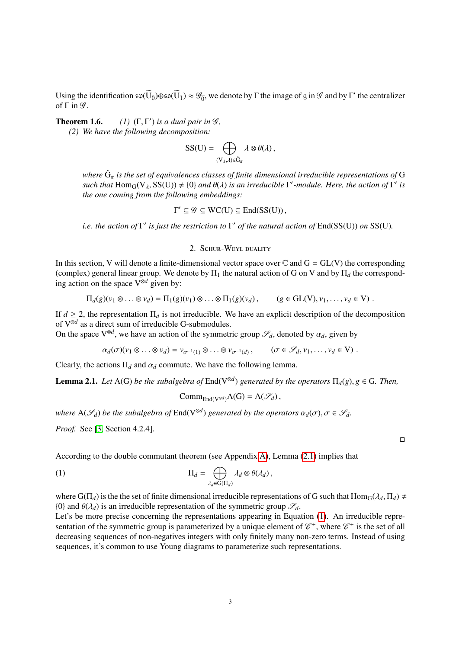Using the identification  $\mathfrak{sp}(\widetilde{U}_{\bar{0}})\oplus \mathfrak{so}(\widetilde{U}_{\bar{1}}) \approx \mathcal{G}_{\bar{0}}$ , we denote by  $\Gamma$  the image of g in  $\mathcal G$  and by  $\Gamma'$  the centralizer of  $\Gamma$  in  $\mathscr{G}$ .

Theorem 1.6. *(1)* (Γ, <sup>Γ</sup> *(2) We have the following decomposition: (')* is a dual pair in  $\mathscr{G}$ ,

$$
SS(U) = \bigoplus_{(V_{\lambda},\lambda) \in \hat{G}_{\pi}} \lambda \otimes \theta(\lambda),
$$

*where*  $\hat{G}_{\pi}$  *is the set of equivalences classes of finite dimensional irreducible representations of* G<br>such that Hom (N  $_{\text{NS}}$ (I))  $\pm$  (0) and  $\theta$ ()) is an irreducible  $\Gamma'$  modula. Here, the action of  $\Gamma'$  i *such that*  $\text{Hom}_G(V_\lambda, SS(U)) \neq \{0\}$  *and*  $\theta(\lambda)$  *is an irreducible*  $\Gamma'$ -module. Here, the action of  $\Gamma'$  *is* the one coming from the following embeddings: *the one coming from the following embeddings:*

 $\Gamma' \subseteq \mathscr{G} \subseteq \text{WC}(U) \subseteq \text{End}(\text{SS}(U)),$ 

*i.e. the action of*  $\Gamma'$  *is just the restriction to*  $\Gamma'$  *of the natural action of*  $\text{End}(\text{SS}(U))$  *on*  $\text{SS}(U)$ *.* 

# 2. Schur-Weyl duality

<span id="page-2-0"></span>In this section, V will denote a finite-dimensional vector space over  $\mathbb C$  and  $G = GL(V)$  the corresponding (complex) general linear group. We denote by  $\Pi_1$  the natural action of G on V and by  $\Pi_d$  the corresponding action on the space V⊗*<sup>d</sup>* given by:

$$
\Pi_d(g)(v_1 \otimes \ldots \otimes v_d) = \Pi_1(g)(v_1) \otimes \ldots \otimes \Pi_1(g)(v_d), \qquad (g \in GL(V), v_1, \ldots, v_d \in V).
$$

If  $d \ge 2$ , the representation  $\Pi_d$  is not irreducible. We have an explicit description of the decomposition of V⊗*<sup>d</sup>* as a direct sum of irreducible G-submodules.

On the space  $V^{\otimes d}$ , we have an action of the symmetric group  $\mathscr{S}_d$ , denoted by  $\alpha_d$ , given by

 $\alpha_d(\sigma)(v_1 \otimes \ldots \otimes v_d) = v_{\sigma^{-1}(1)} \otimes \ldots \otimes v_{\sigma^{-1}(d)}, \qquad (\sigma \in \mathscr{S}_d, v_1, \ldots, v_d \in V)$ .

Clearly, the actions  $\Pi_d$  and  $\alpha_d$  commute. We have the following lemma.

<span id="page-2-1"></span>**Lemma 2.1.** *Let* A(G) *be the subalgebra of*  $End(V^{\otimes d})$  *generated by the operators*  $\Pi_d(g)$ ,  $g \in G$ *. Then,* 

<span id="page-2-2"></span>
$$
Comm_{End(V^{\otimes d})}A(G) = A(\mathscr{S}_d),
$$

*where*  $A(\mathcal{S}_d)$  *be the subalgebra of*  $End(V^{\otimes d})$  *generated by the operators*  $\alpha_d(\sigma)$ ,  $\sigma \in \mathcal{S}_d$ .

*Proof.* See [\[3,](#page-11-4) Section 4.2.4].

According to the double commutant theorem (see Appendix [A\)](#page-9-0), Lemma [\(2.1\)](#page-2-1) implies that

(1) 
$$
\Pi_d = \bigoplus_{\lambda_d \in G(\Pi_d)} \lambda_d \otimes \theta(\lambda_d),
$$

where  $G(\Pi_d)$  is the the set of finite dimensional irreducible representations of G such that  $Hom_G(\lambda_d, \Pi_d) \neq$ {0} and  $\theta(\lambda_d)$  is an irreducible representation of the symmetric group  $\mathscr{S}_d$ .

Let's be more precise concerning the representations appearing in Equation [\(1\)](#page-2-2). An irreducible representation of the symmetric group is parameterized by a unique element of  $\mathscr{C}^+$ , where  $\mathscr{C}^+$  is the set of all decreasing sequences of non-negatives integers with only finitely many non-zero terms. Instead of using sequences, it's common to use Young diagrams to parameterize such representations.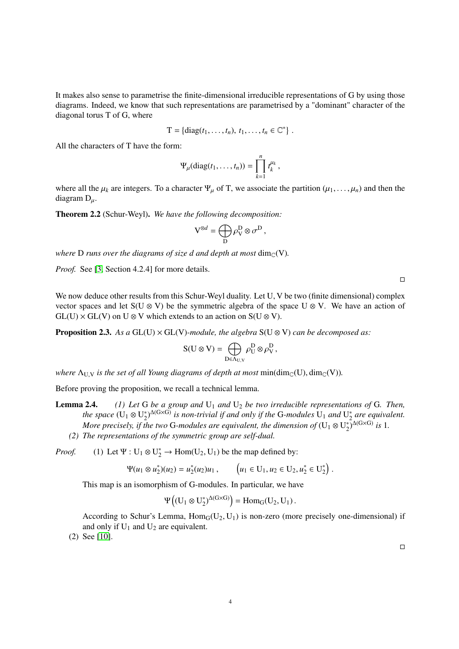It makes also sense to parametrise the finite-dimensional irreducible representations of G by using those diagrams. Indeed, we know that such representations are parametrised by a "dominant" character of the diagonal torus T of G, where

$$
T = \{diag(t_1,\ldots,t_n),\,t_1,\ldots,t_n\in\mathbb{C}^*\}
$$

All the characters of T have the form:

$$
\Psi_{\mu}(\text{diag}(t_1,\ldots,t_n))=\prod_{k=1}^n t_k^{\mu_k},
$$

where all the  $\mu_k$  are integers. To a character  $\Psi_\mu$  of T, we associate the partition  $(\mu_1, \dots, \mu_n)$  and then the diagram  $D_{\mu}$ .

Theorem 2.2 (Schur-Weyl). *We have the following decomposition:*

$$
V^{\otimes d} = \bigoplus_{D} \rho^D_V \otimes \sigma^D,
$$

*where* **D** *runs over the diagrams of size d and depth at most*  $\dim_{\mathbb{C}}(V)$ *.* 

*Proof.* See [\[3,](#page-11-4) Section 4.2.4] for more details.

 $\Box$ 

We now deduce other results from this Schur-Weyl duality. Let U, V be two (finite dimensional) complex vector spaces and let S(U ⊗ V) be the symmetric algebra of the space U ⊗ V. We have an action of  $GL(U) \times GL(V)$  on  $U \otimes V$  which extends to an action on  $S(U \otimes V)$ .

<span id="page-3-0"></span>**Proposition 2.3.** As a GL(U)  $\times$  GL(V)-module, the algebra S(U  $\otimes$  V) can be decomposed as:

$$
S(U\otimes V)=\bigoplus_{D\in\Lambda_{U,V}}\rho^D_U\otimes\rho^D_V\,,
$$

*where*  $\Lambda_{\text{UV}}$  *is the set of all Young diagrams of depth at most* min( $\dim_{\mathbb{C}}(U)$ ,  $\dim_{\mathbb{C}}(V)$ ).

Before proving the proposition, we recall a technical lemma.

**Lemma 2.4.** (1) Let G be a group and  $U_1$  and  $U_2$  be two irreducible representations of G. Then, the space  $(U_1 \otimes U_2^*)$  $\mathcal{L}_2^{*}$ )<sup> $\Delta$ (G×G)</sup> is non-trivial if and only if the G-modules U<sub>1</sub> and U<sub>2</sub><sup>\*</sup> 2 *are equivalent.* More precisely, if the two G-modules are equivalent, the dimension of ( $\mathrm{U}_1 \otimes \mathrm{U}_2^*$  $\sqrt[3]{2}^{\Delta(G\times G)}$  *is* 1. *(2) The representations of the symmetric group are self-dual.*

<span id="page-3-1"></span>*Proof.* (1) Let  $\Psi : U_1 \otimes U_2^* \to \text{Hom}(U_2, U_1)$  be the map defined by:

$$
\Psi(u_1 \otimes u_2^*)(u_2) = u_2^*(u_2)u_1, \qquad \left(u_1 \in U_1, u_2 \in U_2, u_2^* \in U_2^*\right).
$$

This map is an isomorphism of G-modules. In particular, we have

$$
\Psi\left((U_1 \otimes U_2^*)^{\Delta(G \times G)}\right) = \text{Hom}_G(U_2, U_1).
$$

According to Schur's Lemma,  $Hom_G(U_2, U_1)$  is non-zero (more precisely one-dimensional) if and only if  $U_1$  and  $U_2$  are equivalent.

(2) See [\[10\]](#page-12-0).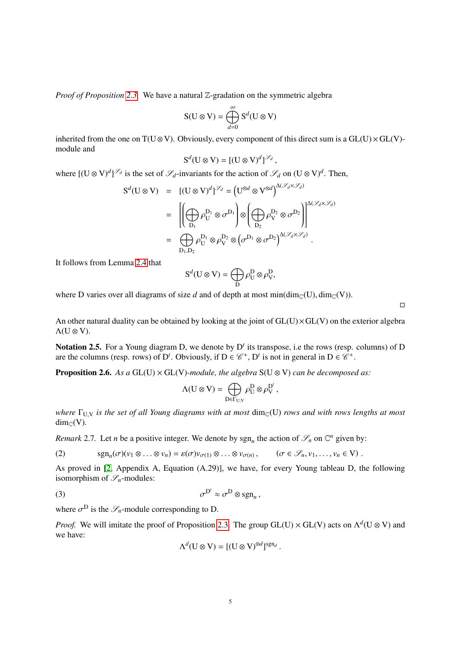*Proof of Proposition* [2.3.](#page-3-0) We have a natural Z-gradation on the symmetric algebra

$$
S(U \otimes V) = \bigoplus_{d=0}^{\infty} S^d(U \otimes V)
$$

inherited from the one on T(U ⊗ V). Obviously, every component of this direct sum is a  $GL(U) \times GL(V)$ module and

$$
\mathrm{S}^d(\mathrm{U}\otimes \mathrm{V})=[(\mathrm{U}\otimes \mathrm{V})^d]^{{\mathcal{S}}_d}
$$

where  $[(\mathbf{U} \otimes \mathbf{V})^d]^{\mathcal{S}_d}$  is the set of  $\mathcal{S}_d$ -invariants for the action of  $\mathcal{S}_d$  on  $(\mathbf{U} \otimes \mathbf{V})^d$ . Then,

$$
S^{d}(U \otimes V) = [(U \otimes V)^{d}]^{\mathscr{S}_{d}} = (U^{\otimes d} \otimes V^{\otimes d})^{\Delta(\mathscr{S}_{d} \times \mathscr{S}_{d})}
$$
  
\n
$$
= \left[ \left( \bigoplus_{D_{1}} \rho_{U}^{D_{1}} \otimes \sigma^{D_{1}} \right) \otimes \left( \bigoplus_{D_{2}} \rho_{V}^{D_{2}} \otimes \sigma^{D_{2}} \right) \right]^{\Delta(\mathscr{S}_{d} \times \mathscr{S}_{d})}
$$
  
\n
$$
= \left( \bigoplus_{D_{1},D_{2}} \rho_{U}^{D_{1}} \otimes \rho_{V}^{D_{2}} \otimes \left( \sigma^{D_{1}} \otimes \sigma^{D_{2}} \right)^{\Delta(\mathscr{S}_{d} \times \mathscr{S}_{d})}.
$$

It follows from Lemma [2.4](#page-3-1) that

$$
\mathcal{S}^d(\mathcal{U}\otimes\mathcal{V})=\bigoplus_{\mathcal{D}}\rho^{\mathcal{D}}_{\mathcal{U}}\otimes\rho^{\mathcal{D}}_{\mathcal{V}},
$$

where D varies over all diagrams of size *d* and of depth at most min( $\dim_{\mathbb{C}}(U)$ ,  $\dim_{\mathbb{C}}(V)$ ).

An other natural duality can be obtained by looking at the joint of  $GL(U)\times GL(V)$  on the exterior algebra Λ(U ⊗ V).

Notation 2.5. For a Young diagram D, we denote by  $D<sup>t</sup>$  its transpose, i.e the rows (resp. columns) of D are the columns (resp. rows) of  $D^t$ . Obviously, if  $D \in \mathcal{C}^+$ ,  $D^t$  is not in general in  $D \in \mathcal{C}^+$ .

**Proposition 2.6.** As a GL(U)  $\times$  GL(V)-module, the algebra S(U  $\otimes$  V) can be decomposed as:

$$
\Lambda(\mathbf{U}\otimes\mathbf{V})=\bigoplus_{\mathbf{D}\in\Gamma_{\mathbf{U},\mathbf{V}}}\rho_{\mathbf{U}}^{\mathbf{D}}\otimes\rho_{\mathbf{V}}^{\mathbf{D}^{\prime}},
$$

*where* Γ<sub>U,V</sub> *is the set of all Young diagrams with at most* dim<sub>C</sub>(U) *rows and with rows lengths at most*  $dim_{\mathbb{C}}(V)$ .

*Remark* 2.7. Let *n* be a positive integer. We denote by sgn<sub>*n*</sub> the action of  $\mathscr{S}_n$  on  $\mathbb{C}^n$  given by:

(2) 
$$
\operatorname{sgn}_n(\sigma)(v_1 \otimes \ldots \otimes v_n) = \varepsilon(\sigma)v_{\sigma(1)} \otimes \ldots \otimes v_{\sigma(n)}, \qquad (\sigma \in \mathscr{S}_n, v_1, \ldots, v_n \in V).
$$

As proved in [\[2,](#page-11-3) Appendix A, Equation (A.29)], we have, for every Young tableau D, the following isomorphism of  $\mathscr{S}_n$ -modules:

(3) 
$$
\sigma^{\mathcal{D}^t} \approx \sigma^{\mathcal{D}} \otimes \text{sgn}_n,
$$

where  $\sigma^D$  is the  $\mathscr{S}_n$ -module corresponding to D.

*Proof.* We will imitate the proof of Proposition [2.3.](#page-3-0) The group GL(U)  $\times$  GL(V) acts on  $\Lambda^d$ (U  $\otimes$  V) and we have:

<span id="page-4-0"></span>
$$
\Lambda^d(U \otimes V) = [(U \otimes V)^{\otimes d}]^{\mathrm{sgn}_d}
$$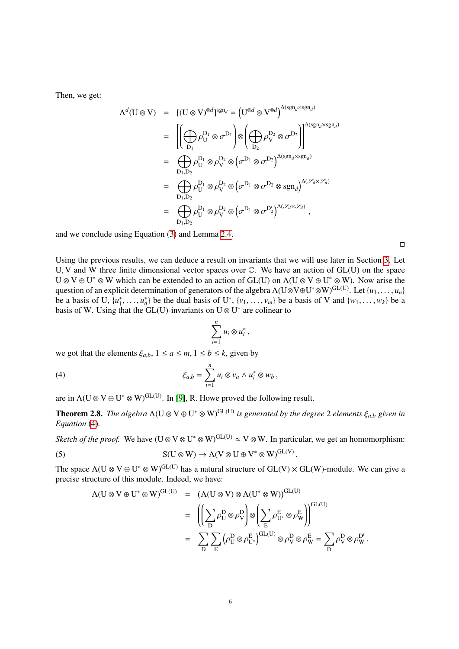Then, we get:

$$
\Lambda^{d}(\mathbf{U}\otimes\mathbf{V}) = [(\mathbf{U}\otimes\mathbf{V})^{\otimes d}]^{sgn_{d}} = (\mathbf{U}^{\otimes d}\otimes\mathbf{V}^{\otimes d})^{\Delta(sgn_{d}\times sgn_{d})}
$$
\n
$$
= \left[ \left( \bigoplus_{D_{1}} \rho_{U}^{D_{1}} \otimes \sigma^{D_{1}} \right) \otimes \left( \bigoplus_{D_{2}} \rho_{V}^{D_{2}} \otimes \sigma^{D_{2}} \right) \right]^{\Delta(sgn_{d}\times sgn_{d})}
$$
\n
$$
= \left( \bigoplus_{D_{1},D_{2}} \rho_{U}^{D_{1}} \otimes \rho_{V}^{D_{2}} \otimes \left( \sigma^{D_{1}} \otimes \sigma^{D_{2}} \right)^{\Delta(sgn_{d}\times sgn_{d})}
$$
\n
$$
= \left( \bigoplus_{D_{1},D_{2}} \rho_{U}^{D_{1}} \otimes \rho_{V}^{D_{2}} \otimes \left( \sigma^{D_{1}} \otimes \sigma^{D_{2}} \otimes sgn_{d} \right)^{\Delta(\mathscr{S}_{d}\times\mathscr{S}_{d})}
$$
\n
$$
= \left( \bigoplus_{D_{1},D_{2}} \rho_{U}^{D_{1}} \otimes \rho_{V}^{D_{2}} \otimes \left( \sigma^{D_{1}} \otimes \sigma^{D_{2}^{\prime}} \right)^{\Delta(\mathscr{S}_{d}\times\mathscr{S}_{d})},
$$

and we conclude using Equation [\(3\)](#page-4-0) and Lemma [2.4.](#page-3-1)

 $\Box$ 

Using the previous results, we can deduce a result on invariants that we will use later in Section [3.](#page-6-0) Let <sup>U</sup>, V and W three finite dimensional vector spaces over <sup>C</sup>. We have an action of GL(U) on the space  $U \otimes V \oplus U^* \otimes W$  which can be extended to an action of GL(U) on  $\Lambda(U \otimes V \oplus U^* \otimes W)$ . Now arise the question of an explicit determination of generators of the algebra  $\Lambda(U\otimes V\oplus U^*\otimes W)^{GL(U)}$ . Let  $\{u_1, \ldots, u_n\}$ <br>he a basis of  $U$ ,  $\{u^*\}\subset \mathbb{R}^*$ , be the dual basis of  $U^*$ ,  $\{v_1, \ldots, v_n\}$  be a basis of  $V$  and  $\{$ be a basis of U,  $\{u_1^*\}$ <sup>\*</sup><sub>1</sub>,...,  $u_n^*$ } be the dual basis of U<sup>\*</sup>, {*v*<sub>1</sub>,..., *v<sub><i>m*</sub>}</sub> be a basis of V and {*w*<sub>1</sub>,..., *w*<sub>*k*</sub>} be a that the GI (I)-invariants on  $U \otimes U^*$  are colinear to basis of W. Using that the GL(U)-invariants on  $U \otimes U^*$  are colinear to

<span id="page-5-0"></span>
$$
\sum_{i=1}^n u_i \otimes u_i^*,
$$

we got that the elements  $\xi_{a,b}$ ,  $1 \le a \le m, 1 \le b \le k$ , given by

(4) 
$$
\xi_{a,b} = \sum_{i=1}^n u_i \otimes v_a \wedge u_i^* \otimes w_b,
$$

are in  $\Lambda$ (U  $\otimes$  V  $\oplus$  U<sup>\*</sup>  $\otimes$  W)<sup>GL(U)</sup>. In [\[9\]](#page-12-1), R. Howe proved the following result.

<span id="page-5-2"></span>**Theorem 2.8.** *The algebra*  $\Lambda$ (U  $\otimes$  V  $\oplus$  U<sup>\*</sup>  $\otimes$  W)<sup>GL(U)</sup> *is generated by the degree* 2 *elements*  $\xi_{a,b}$  *given in*  $F_{a,b}$  *Faugtion* (4) *Equation* [\(4\)](#page-5-0)*.*

*Sketch of the proof.* We have ( $U \otimes V \otimes U^* \otimes W$ )<sup>GL(U)</sup>  $\approx V \otimes W$ . In particular, we get an homomorphism:

(5) 
$$
S(U \otimes W) \to \Lambda(V \otimes U \oplus V^* \otimes W)^{GL(V)}.
$$

The space  $\Lambda(U \otimes V \oplus U^* \otimes W)^{GL(U)}$  has a natural structure of  $GL(V) \times GL(W)$ -module. We can give a precise structure of this module. Indeed, we have:

<span id="page-5-1"></span>
$$
\begin{array}{rcl} \Lambda(U \otimes V \oplus U^* \otimes W)^{GL(U)} & = & \big( \Lambda(U \otimes V) \otimes \Lambda(U^* \otimes W) \big)^{GL(U)} \\ \\ & = & \left( \left( \sum_D \rho_U^D \otimes \rho_V^D \right) \otimes \left( \sum_E \rho_{U^*}^E \otimes \rho_W^E \right) \right)^{GL(U)} \\ \\ & = & \sum_D \sum_E \big( \rho_U^D \otimes \rho_{U^*}^E \big)^{GL(U)} \otimes \rho_V^D \otimes \rho_W^E = \sum_D \rho_V^D \otimes \rho_W^D \, . \end{array}
$$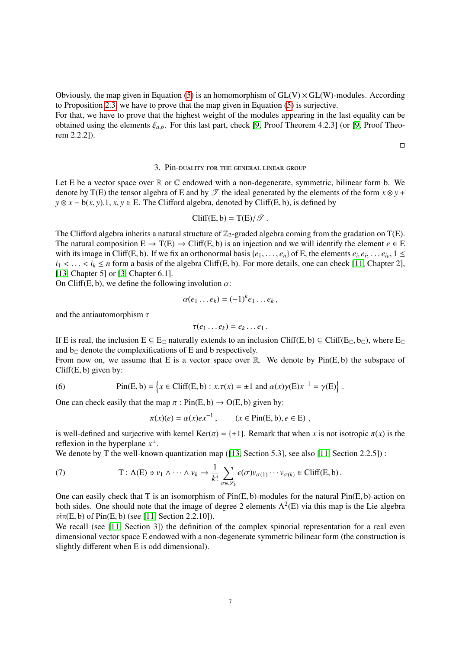Obviously, the map given in Equation [\(5\)](#page-5-1) is an homomorphism of  $GL(V) \times GL(W)$ -modules. According to Proposition [2.3,](#page-3-0) we have to prove that the map given in Equation [\(5\)](#page-5-1) is surjective. For that, we have to prove that the highest weight of the modules appearing in the last equality can be obtained using the elements  $\xi_{a,b}$ . For this last part, check [\[9,](#page-12-1) Proof Theorem 4.2.3] (or [9, Proof Theo-

 $\Box$ 

### 3. Pin-duality for the general linear group

<span id="page-6-0"></span>Let E be a vector space over  $\mathbb R$  or  $\mathbb C$  endowed with a non-degenerate, symmetric, bilinear form b. We denote by T(E) the tensor algebra of E and by  $\mathscr T$  the ideal generated by the elements of the form  $x \otimes y$  +  $y \otimes x - b(x, y) \cdot 1$ ,  $x, y \in E$ . The Clifford algebra, denoted by Cliff(E, b), is defined by

$$
\text{Cliff}(E, b) = T(E)/\mathcal{T}.
$$

The Clifford algebra inherits a natural structure of  $\mathbb{Z}_2$ -graded algebra coming from the gradation on T(E). The natural composition  $E \to T(E) \to \text{Cliff}(E, b)$  is an injection and we will identify the element  $e \in E$ with its image in Cliff(E, b). If we fix an orthonormal basis  $\{e_1, \ldots, e_n\}$  of E, the elements  $e_{i_1}e_{i_2} \ldots e_{i_k}$ ,  $1 \leq i_k \leq n$  form a basis of the algebra Cliff(E b). For more details, one can check [11]. Chapter  $i_1 < \ldots < i_k \le n$  form a basis of the algebra Cliff(E, b). For more details, one can check [\[11,](#page-12-2) Chapter 2], [\[13,](#page-12-3) Chapter 5] or [\[3,](#page-11-4) Chapter 6.1].

On Cliff(E, b), we define the following involution  $\alpha$ :

$$
\alpha(e_1 \ldots e_k) = (-1)^k e_1 \ldots e_k,
$$

and the antiautomorphism  $\tau$ 

rem 2.2.2]).

$$
\tau(e_1 \ldots e_k) = e_k \ldots e_1 \, .
$$

If E is real, the inclusion  $E \subseteq E_C$  naturally extends to an inclusion Cliff(E, b)  $\subseteq$  Cliff(E<sub>C</sub>, b<sub>C</sub>), where E<sub>C</sub> and b, denote the complexifications of E and b respectively and  $b_{\mathbb{C}}$  denote the complexifications of E and b respectively.

From now on, we assume that E is a vector space over  $\mathbb R$ . We denote by  $Pin(E, b)$  the subspace of  $Cliff(E, b)$  given by:

(6) 
$$
\text{Pin}(E, b) = \left\{ x \in \text{Cliff}(E, b) : x.\tau(x) = \pm 1 \text{ and } \alpha(x)\gamma(E)x^{-1} = \gamma(E) \right\}.
$$

One can check easily that the map  $\pi$ : Pin(E, b)  $\rightarrow$  O(E, b) given by:

<span id="page-6-1"></span>
$$
\pi(x)(e) = \alpha(x) e x^{-1}, \qquad (x \in \text{Pin}(E, b), e \in E) ,
$$

is well-defined and surjective with kernel Ker( $\pi$ ) = { $\pm$ 1}. Remark that when *x* is not isotropic  $\pi(x)$  is the reflexion in the hyperplane  $x^{\perp}$ .

We denote by T the well-known quantization map ([\[13,](#page-12-3) Section 5.3], see also [\[11,](#page-12-2) Section 2.2.5]) :

(7) 
$$
T: \Lambda(E) \ni v_1 \wedge \cdots \wedge v_k \to \frac{1}{k!} \sum_{\sigma \in \mathscr{S}_k} \epsilon(\sigma) v_{\sigma(1)} \cdots v_{\sigma(k)} \in \text{Cliff}(E, b).
$$

One can easily check that T is an isomorphism of Pin(E, b)-modules for the natural Pin(E, b)-action on both sides. One should note that the image of degree 2 elements  $\Lambda^2(E)$  via this map is the Lie algebra pin(E, b) of Pin(E, b) (see [\[11,](#page-12-2) Section 2.2.10]).

We recall (see [\[11,](#page-12-2) Section 3]) the definition of the complex spinorial representation for a real even dimensional vector space E endowed with a non-degenerate symmetric bilinear form (the construction is slightly different when E is odd dimensional).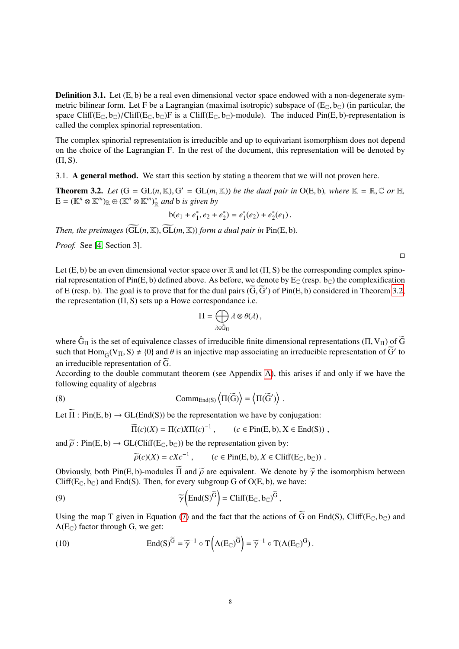**Definition 3.1.** Let  $(E, b)$  be a real even dimensional vector space endowed with a non-degenerate symmetric bilinear form. Let F be a Lagrangian (maximal isotropic) subspace of  $(E_{\mathbb{C}}, b_{\mathbb{C}})$  (in particular, the space Cliff( $E_C$ ,  $b_C$ )/Cliff( $E_C$ ,  $b_C$ )F is a Cliff( $E_C$ ,  $b_C$ )-module). The induced Pin( $E$ ,  $b$ )-representation is called the complex spinorial representation.

The complex spinorial representation is irreducible and up to equivariant isomorphism does not depend on the choice of the Lagrangian F. In the rest of the document, this representation will be denoted by  $(\Pi, S)$ .

<span id="page-7-0"></span>3.1. A general method. We start this section by stating a theorem that we will not proven here.

<span id="page-7-1"></span>**Theorem 3.2.** *Let*  $(G = GL(n, \mathbb{K}), G' = GL(m, \mathbb{K}))$  *be the dual pair in*  $O(E, b)$ *, where*  $\mathbb{K} = \mathbb{R}, \mathbb{C}$  *or*  $\mathbb{H},$ <br> $F = (\mathbb{K}^n \otimes \mathbb{K}^m)_{\mathbb{R}} \oplus (\mathbb{K}^n \otimes \mathbb{K}^m)^*$  and b is given by  $E = (\mathbb{K}^n \otimes \mathbb{K}^m)_{\mathbb{R}} \oplus (\mathbb{K}^n \otimes \mathbb{K}^m)_{\mathbb{R}}^*$  and b is given by

$$
b(e_1 + e_1^*, e_2 + e_2^*) = e_1^*(e_2) + e_2^*(e_1).
$$

*Then, the preimages*  $(\widetilde{GL}(n, \mathbb{K}), \widetilde{GL}(m, \mathbb{K}))$  *form a dual pair in* Pin(E, b).

*Proof.* See [\[4,](#page-11-5) Section 3].

Let (E, b) be an even dimensional vector space over  $\mathbb R$  and let ( $\Pi$ , S) be the corresponding complex spinorial representation of Pin(E, b) defined above. As before, we denote by  $E_C$  (resp. b<sub>C</sub>) the complexification of E (resp. b). The goal is to prove that for the dual pairs  $(\widetilde{G}, \widetilde{G}')$  of Pin(E, b) considered in Theorem [3.2,](#page-7-1) the representation ( $\Pi$ , S) sets up a Howe correspondance i.e. the representation  $(\Pi, S)$  sets up a Howe correspondance i.e.

$$
\Pi = \bigoplus_{\lambda \in \hat{G}_{\Pi}} \lambda \otimes \theta(\lambda) \,,
$$

where  $\hat{G}_{\Pi}$  is the set of equivalence classes of irreducible finite dimensional representations ( $\Pi$ ,  $V_{\Pi}$ ) of  $\widetilde{G}$ <br>such that  $Hom_{\Pi}(V_{\Pi}, S) \neq \{0\}$  and  $\theta$  is an injective map associating an irreducible re such that  $\text{Hom}_{\widetilde{G}}(V_{\Pi}, S) \neq \{0\}$  and  $\theta$  is an injective map associating an irreducible representation of  $\widetilde{G}'$  to an irreducible representation of G.

According to the double commutant theorem (see Appendix [A\)](#page-9-0), this arises if and only if we have the following equality of algebras

(8) 
$$
\text{Comm}_{\text{End}(S)} \left\langle \Pi(\widetilde{G}) \right\rangle = \left\langle \Pi(\widetilde{G}') \right\rangle
$$

Let  $\overline{\Pi}$ : Pin(E, b)  $\rightarrow$  GL(End(S)) be the representation we have by conjugation:<br> $\overline{\Pi}(c)(X) = \Pi(c)X\Pi(c)^{-1}$  ( $c \in \text{Pin}(F$  b)  $X \in \text{End}(S)$ 

$$
\overline{\Pi}(c)(X) = \Pi(c)X\Pi(c)^{-1}, \qquad (c \in \text{Pin}(E, b), X \in \text{End}(S)),
$$

and  $\tilde{\rho}$ : Pin(E, b)  $\rightarrow$  GL(Cliff(E<sub>C</sub>, b<sub>C</sub>)) be the representation given by:

 $\widetilde{\rho}(c)(X) = cXc^{-1},$   $(c \in \text{Pin}(E, b), X \in \text{Cliff}(E_{\mathbb{C}}, b_{\mathbb{C}}))$ .

Obviously, both Pin(E, b)-modules  $\overline{\Pi}$  and  $\overline{\rho}$  are equivalent. We denote by  $\widetilde{\gamma}$  the isomorphism between  $Cliff(E_{\mathbb{C}}, b_{\mathbb{C}})$  and End(S). Then, for every subgroup G of O(E, b), we have:

(9) 
$$
\widetilde{\gamma}\left(\text{End}(\mathbf{S})^{\widetilde{\mathbf{G}}}\right) = \text{Cliff}(\mathbf{E}_{\mathbb{C}},\mathbf{b}_{\mathbb{C}})^{\widetilde{\mathbf{G}}},
$$

Using the map T given in Equation [\(7\)](#page-6-1) and the fact that the actions of  $\tilde{G}$  on End(S), Cliff(E<sub>C</sub>, b<sub>C</sub>) and  $\Lambda(E_{\mathbb{C}})$  factor through G, we get:

(10) 
$$
\text{End}(S)^{\widetilde{G}} = \widetilde{\gamma}^{-1} \circ T\left(\Lambda(E_{\mathbb{C}})^{\widetilde{G}}\right) = \widetilde{\gamma}^{-1} \circ T(\Lambda(E_{\mathbb{C}})^{G}).
$$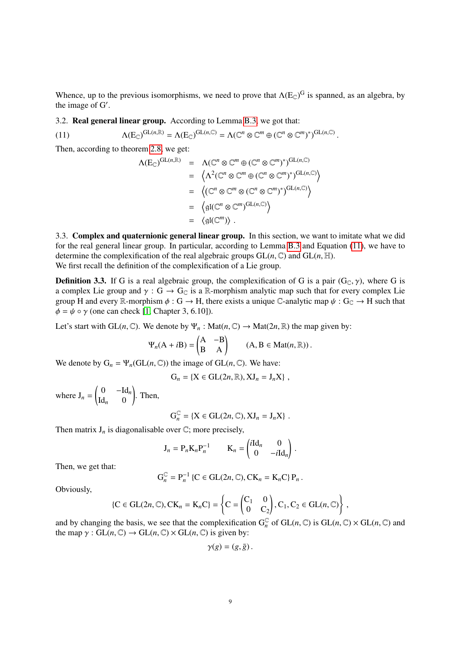Whence, up to the previous isomorphisms, we need to prove that  $\Lambda(E_{\mathbb{C}})^G$  is spanned, as an algebra, by the image of G'.

<span id="page-8-0"></span>3.2. Real general linear group. According to Lemma [B.3,](#page-10-1) we got that:

(11)  $\Lambda(E_{\mathbb{C}})^{\mathrm{GL}(n,\mathbb{R})} = \Lambda(E_{\mathbb{C}})^{\mathrm{GL}(n,\mathbb{C})} = \Lambda(\mathbb{C}^n \otimes \mathbb{C}^m \oplus (\mathbb{C}^n \otimes \mathbb{C}^m)^*)^{\mathrm{GL}(n,\mathbb{C})}$ 

Then, according to theorem [2.8,](#page-5-2) we get:

<span id="page-8-2"></span>
$$
\Lambda(E_{\mathbb{C}})^{\operatorname{GL}(n,\mathbb{R})} = \Lambda(\mathbb{C}^n \otimes \mathbb{C}^m \oplus (\mathbb{C}^n \otimes \mathbb{C}^m)^*)^{\operatorname{GL}(n,\mathbb{C})}
$$
  
\n
$$
= \left\langle \Lambda^2(\mathbb{C}^n \otimes \mathbb{C}^m \oplus (\mathbb{C}^n \otimes \mathbb{C}^m)^*)^{\operatorname{GL}(n,\mathbb{C})} \right\rangle
$$
  
\n
$$
= \left\langle (\mathbb{C}^n \otimes \mathbb{C}^m \otimes (\mathbb{C}^n \otimes \mathbb{C}^m)^*)^{\operatorname{GL}(n,\mathbb{C})} \right\rangle
$$
  
\n
$$
= \left\langle \operatorname{gl}(\mathbb{C}^n \otimes \mathbb{C}^m)^{\operatorname{GL}(n,\mathbb{C})} \right\rangle
$$
  
\n
$$
= \left\langle \operatorname{gl}(\mathbb{C}^m) \right\rangle.
$$

<span id="page-8-1"></span>3.3. Complex and quaternionic general linear group. In this section, we want to imitate what we did for the real general linear group. In particular, according to Lemma [B.3](#page-10-1) and Equation [\(11\)](#page-8-2), we have to determine the complexification of the real algebraic groups  $GL(n, \mathbb{C})$  and  $GL(n, \mathbb{H})$ . We first recall the definition of the complexification of a Lie group.

**Definition 3.3.** If G is a real algebraic group, the complexification of G is a pair  $(G_C, \gamma)$ , where G is a complex Lie group and  $\gamma$  : G  $\rightarrow$  G<sub>C</sub> is a R-morphism analytic map such that for every complex Lie group H and every R-morphism  $\phi : G \to H$ , there exists a unique C-analytic map  $\psi : G_{\mathbb{C}} \to H$  such that  $\phi = \psi \circ \gamma$  (one can check [\[1,](#page-11-6) Chapter 3, 6.10]).

Let's start with  $GL(n, \mathbb{C})$ . We denote by  $\Psi_n : Mat(n, \mathbb{C}) \to Mat(2n, \mathbb{R})$  the map given by:

$$
\Psi_n(A + iB) = \begin{pmatrix} A & -B \\ B & A \end{pmatrix} \qquad (A, B \in Mat(n, \mathbb{R})).
$$

We denote by  $G_n = \Psi_n(\mathrm{GL}(n,\mathbb{C}))$  the image of  $\mathrm{GL}(n,\mathbb{C})$ . We have:

$$
G_n = \{X \in GL(2n, \mathbb{R}), XJ_n = J_nX\},\,
$$

where  $J_n =$  $\begin{pmatrix} 0 & -Id_n \end{pmatrix}$  $\mathrm{Id}_n$  0 ! . Then,

$$
G_n^{\mathbb{C}} = \{ X \in GL(2n, \mathbb{C}), XJ_n = J_n X \} .
$$

Then matrix  $J_n$  is diagonalisable over  $\mathbb{C}$ ; more precisely,

$$
\mathbf{J}_n = \mathbf{P}_n \mathbf{K}_n \mathbf{P}_n^{-1} \qquad \mathbf{K}_n = \begin{pmatrix} i \mathbf{Id}_n & 0 \\ 0 & -i \mathbf{Id}_n \end{pmatrix}.
$$

Then, we get that:

$$
\mathrm{G}_n^{\mathbb{C}} = \mathrm{P}_n^{-1} \left\{ \mathrm{C} \in \mathrm{GL}(2n, \mathbb{C}), \mathrm{CK}_n = \mathrm{K}_n \mathrm{C} \right\} \mathrm{P}_n \, .
$$

Obviously,

$$
\{C \in GL(2n, \mathbb{C}), CK_n = K_n C\} = \left\{C = \begin{pmatrix} C_1 & 0 \\ 0 & C_2 \end{pmatrix}, C_1, C_2 \in GL(n, \mathbb{C})\right\},\
$$

and by changing the basis, we see that the complexification  $G_n^{\mathbb{C}}$  of  $GL(n, \mathbb{C})$  is  $GL(n, \mathbb{C}) \times GL(n, \mathbb{C})$  and the man  $\alpha \cdot GL(n, \mathbb{C}) \rightarrow GL(n, \mathbb{C}) \times GL(n, \mathbb{C})$  is given by: the map  $\gamma$ : GL(*n*, C)  $\rightarrow$  GL(*n*, C)  $\times$  GL(*n*, C) is given by:

$$
\gamma(g)=(g,\bar{g})\,.
$$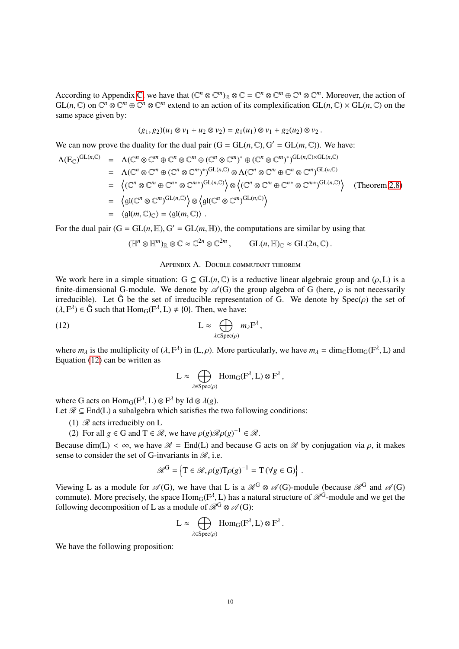According to Appendix [C,](#page-11-0) we have that  $(\mathbb{C}^n \otimes \mathbb{C}^m)_{\mathbb{R}} \otimes \mathbb{C} = \mathbb{C}^n \otimes \mathbb{C}^m \oplus \mathbb{C}^n \otimes \mathbb{C}^m$ . Moreover, the action of  $GL(n, \mathbb{C})$  on  $\mathbb{C}^n \otimes \mathbb{C}^m \oplus \mathbb{C}^n \otimes \mathbb{C}^m$  extend to an action of its complexification  $GL(n, \mathbb{C}) \times GL(n, \mathbb{C})$  on the same space given by: same space given by:

$$
(g_1, g_2)(u_1 \otimes v_1 + u_2 \otimes v_2) = g_1(u_1) \otimes v_1 + g_2(u_2) \otimes v_2.
$$

We can now prove the duality for the dual pair  $(G = GL(n, \mathbb{C}), G' = GL(m, \mathbb{C}))$ . We have:

$$
\Lambda(E_{\mathbb{C}})^{GL(n,\mathbb{C})} = \Lambda(\mathbb{C}^n \otimes \mathbb{C}^m \oplus \mathbb{C}^n \otimes \mathbb{C}^m \oplus (\mathbb{C}^n \otimes \mathbb{C}^m)^* \oplus (\mathbb{C}^n \otimes \mathbb{C}^m)^*)^{GL(n,\mathbb{C}) \times GL(n,\mathbb{C})}
$$
  
\n
$$
= \Lambda(\mathbb{C}^n \otimes \mathbb{C}^m \oplus (\mathbb{C}^n \otimes \mathbb{C}^m)^*)^{GL(n,\mathbb{C})} \otimes \Lambda(\mathbb{C}^n \otimes \mathbb{C}^m \oplus \mathbb{C}^n \otimes \mathbb{C}^m)^{GL(n,\mathbb{C})}
$$
  
\n
$$
= \left\langle (\mathbb{C}^n \otimes \mathbb{C}^m \oplus \mathbb{C}^{n*} \otimes \mathbb{C}^{m*})^{GL(n,\mathbb{C})} \right\rangle \otimes \left\langle (\mathbb{C}^n \otimes \mathbb{C}^m \oplus \mathbb{C}^{n*} \otimes \mathbb{C}^{m*})^{GL(n,\mathbb{C})} \right\rangle \quad (\text{Theorem 2.8})
$$
  
\n
$$
= \left\langle \mathfrak{gl}(\mathbb{C}^n \otimes \mathbb{C}^m)^{GL(n,\mathbb{C})} \right\rangle \otimes \left\langle \mathfrak{gl}(\mathbb{C}^n \otimes \mathbb{C}^m)^{GL(n,\mathbb{C})} \right\rangle
$$
  
\n
$$
= \left\langle \mathfrak{gl}(m,\mathbb{C})_{\mathbb{C}} \right\rangle = \left\langle \mathfrak{gl}(m,\mathbb{C}) \right\rangle.
$$

For the dual pair  $(G = GL(n, \mathbb{H}), G' = GL(m, \mathbb{H}))$ , the computations are similar by using that

$$
(\mathbb{H}^n \otimes \mathbb{H}^m)_{\mathbb{R}} \otimes \mathbb{C} \approx \mathbb{C}^{2n} \otimes \mathbb{C}^{2m}, \qquad GL(n, \mathbb{H})_{\mathbb{C}} \approx GL(2n, \mathbb{C}).
$$

### Appendix A. Double commutant theorem

<span id="page-9-0"></span>We work here in a simple situation:  $G \subseteq GL(n, \mathbb{C})$  is a reductive linear algebraic group and  $(\rho, L)$  is a finite-dimensional G-module. We denote by  $\mathscr{A}(G)$  the group algebra of G (here,  $\rho$  is not necessarily irreducible). Let  $\hat{G}$  be the set of irreducible representation of G. We denote by  $Spec(\rho)$  the set of  $(\lambda, F^{\lambda}) \in \hat{G}$  such that  $Hom_G(F^{\lambda}, L) \neq \{0\}$ . Then, we have:

(12) 
$$
L \approx \bigoplus_{\lambda \in \text{Spec}(\rho)} m_{\lambda} F^{\lambda},
$$

where  $m_{\lambda}$  is the multiplicity of ( $\lambda$ ,  $F^{\lambda}$ ) in (L,  $\rho$ ). More particularly, we have  $m_{\lambda} = \text{dim}_{\mathbb{C}}\text{Hom}_{G}(F^{\lambda}, L)$  and Equation (12) can be written as Equation [\(12\)](#page-9-1) can be written as

<span id="page-9-1"></span>
$$
L \approx \bigoplus_{\lambda \in \text{Spec}(\rho)} \text{Hom}_G(F^{\lambda}, L) \otimes F^{\lambda},
$$

where G acts on  $\text{Hom}_G(F^{\lambda}, L) \otimes F^{\lambda}$  by Id  $\otimes \lambda(g)$ .<br>Let  $\mathscr{R} \subset \text{End}(L)$  a subalgebra which satisfies the Let  $\mathcal{R} \subseteq$  End(L) a subalgebra which satisfies the two following conditions:

- (1)  $\mathcal{R}$  acts irreducibly on L
- (2) For all  $g \in G$  and  $T \in \mathcal{R}$ , we have  $\rho(g) \mathcal{R} \rho(g)^{-1} \in \mathcal{R}$ .

Because dim(L)  $< \infty$ , we have  $\mathcal{R} = \text{End}(L)$  and because G acts on  $\mathcal{R}$  by conjugation via  $\rho$ , it makes sense to consider the set of G-invariants in  $\mathcal{R}$ , i.e.

$$
\mathcal{R}^{\mathrm{G}} = \left\{ \mathrm{T} \in \mathcal{R}, \rho(g) \mathrm{T} \rho(g)^{-1} = \mathrm{T} \left( \forall g \in \mathrm{G} \right) \right\}
$$

Viewing L as a module for  $\mathscr{A}(G)$ , we have that L is a  $\mathscr{R}^G \otimes \mathscr{A}(G)$ -module (because  $\mathscr{R}^G$  and  $\mathscr{A}(G)$ ) commute). More precisely, the space  $\text{Hom}_G(F^{\lambda}, L)$  has a natural structure of  $\mathcal{R}^G$ -module and we get the following decomposition of L as a module of  $\mathcal{R}^G \otimes \mathcal{A}(G)$ . following decomposition of L as a module of  $\mathcal{R}^G \otimes \mathcal{A}(G)$ :

$$
L \approx \bigoplus_{\lambda \in \text{Spec}(\rho)} \text{Hom}_G(F^{\lambda}, L) \otimes F^{\lambda}.
$$

We have the following proposition: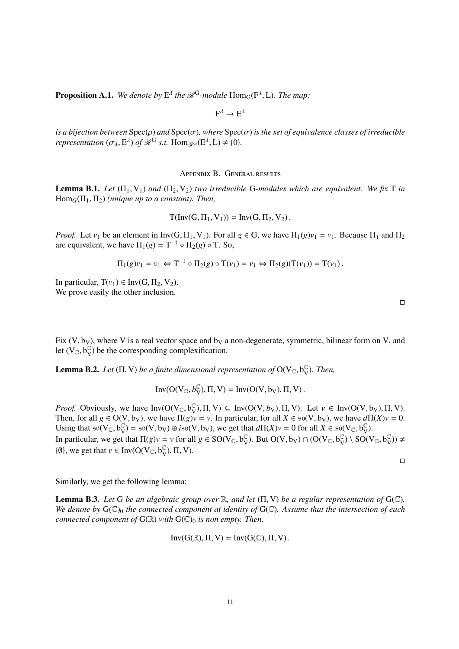**Proposition A.1.** We denote by  $E^{\lambda}$  the  $\mathcal{R}^{G}$ -module  $Hom_{G}(F^{\lambda}, L)$ *. The map:* 

 $F^{\lambda} \to E^{\lambda}$ 

*is a bijection between*  $Spec(\rho)$  *and*  $Spec(\sigma)$ *, where*  $Spec(\sigma)$  *is the set of equivalence classes of irreducible representation*  $(\sigma_{\lambda}, \mathbf{E}^{\lambda})$  *of*  $\mathscr{R}^{\mathbf{G}}$  *s.t.*  $\text{Hom}_{\mathscr{R}^{\mathbf{G}}}(\mathbf{E}^{\lambda}, \mathbf{L}) \neq \{0\}.$ 

Appendix B. General results

<span id="page-10-0"></span>**Lemma B.1.** *Let*  $(\Pi_1, V_1)$  *and*  $(\Pi_2, V_2)$  *two irreducible* G-modules which are equivalent. We fix T in  $Hom_G(\Pi_1, \Pi_2)$  *(unique up to a constant). Then,* 

$$
T(\text{Inv}(G, \Pi_1, V_1)) = \text{Inv}(G, \Pi_2, V_2).
$$

*Proof.* Let  $v_1$  be an element in Inv(G,  $\Pi_1$ , V<sub>1</sub>). For all  $g \in G$ , we have  $\Pi_1(g)v_1 = v_1$ . Because  $\Pi_1$  and  $\Pi_2$ are equivalent, we have  $\Pi_1(g) = T^{-1} \circ \Pi_2(g) \circ T$ . So,

$$
\Pi_1(g)v_1 = v_1 \Leftrightarrow T^{-1} \circ \Pi_2(g) \circ T(v_1) = v_1 \Leftrightarrow \Pi_2(g)(T(v_1)) = T(v_1).
$$

In particular,  $T(v_1) \in Inv(G, \Pi_2, V_2)$ . We prove easily the other inclusion.

Fix (V, b<sub>V</sub>), where V is a real vector space and b<sub>V</sub> a non-degenerate, symmetric, bilinear form on V, and let  $(V_{\mathbb{C}}, b_{V}^{\mathbb{C}})$  $\mathcal{C}_{\text{V}}$ ) be the corresponding complexification.

**Lemma B.2.** *Let* ( $\Pi$ ,  $V$ ) *be a finite dimensional representation of*  $O(V_{\mathbb{C}}, b_{V}^{\mathbb{C}})$ V )*. Then,*

$$
\text{Inv}(O(V_\mathbb{C},\boldsymbol{b}_V^\mathbb{C}),\Pi,V)=\text{Inv}(O(V,b_V),\Pi,V)\,.
$$

*Proof.* Obviously, we have  $Inv(O(V_C, b_V^{\mathbb{C}}))$ <br>Then for all  $g \in O(V, b_V)$  we have  $\Pi(g)$  $\begin{array}{c} \mathbb{C} \\ V \end{array}$ ,  $\Pi$ ,  $V$ )  $\subseteq$  Inv( $O(V, b_V)$ ,  $\Pi$ , V). Let  $v \in Inv(O(V, b_V), \Pi, V)$ .<br>  $\mathbb{C}V = V$  In particular, for all  $Y \in \mathfrak{so}(V, b_V)$ , we have  $d\Pi(Y)v = 0$ . Then, for all  $g \in O(V, b_V)$ , we have  $\Pi(g)v = v$ . In particular, for all  $X \in \mathfrak{so}(V, b_V)$ , we have  $d\Pi(X)v = 0$ . Using that  $\overline{\mathfrak{so}}(V_{\mathbb{C}}, b^{\mathbb{C}}_V)$  $\begin{array}{c}\n\mathbb{C}_V \\
\mathbb{C}_V\n\end{array} =$  so(V, b<sub>V</sub>)  $\oplus$  *i*so(V, b<sub>V</sub>), we get that  $d\Pi(X)v = 0$  for all  $X \in \mathfrak{so}(V_{\mathbb{C}}, b_V^{\mathbb{C}})$ <br>t that  $\Pi(\mathfrak{c})v = v$  for all  $\mathfrak{c} \in \mathcal{SO}(V_{\mathbb{C}}, b_{\mathbb{C}}^{\mathbb{C}})$ . But  $O(V_{\mathbb{C}}, b_{\mathbb$  $\mathbb{C}_{\mathrm{V}}$ ). In particular, we get that  $\Pi(g)v = v$  for all  $g \in SO(V_{\mathbb{C}}, b_{V}^{\mathbb{C}})$  $\mathcal{C}_{\text{V}}$ ). But O(V, b<sub>V</sub>) ∩ (O(V<sub>C</sub>, b<sub>V</sub>  $\bigvee^{\mathbb{C}}_{V}$ ) \ SO(V<sub>C</sub>, b<sub>V</sub>  $(\begin{matrix} 0 \\ V \end{matrix})) \neq$ { $\emptyset$ }, we get that  $v \in Inv(O(V_{\mathbb{C}}, b^{\mathbb{C}}_V))$  $_V^{\mathbb{C}}$ ),  $\Pi$ , V).

 $\Box$ 

Similarly, we get the following lemma:

<span id="page-10-1"></span>**Lemma B.3.** Let G be an algebraic group over  $\mathbb{R}$ , and let  $(\Pi, V)$  be a regular representation of  $G(\mathbb{C})$ . *We denote by*  $G(\mathbb{C})$ <sub>0</sub> *the connected component at identity of*  $G(\mathbb{C})$ *. Assume that the intersection of each connected component of*  $G(\mathbb{R})$  *with*  $G(\mathbb{C})$ <sub>0</sub> *is non empty. Then,* 

$$
\text{Inv}(G(\mathbb{R}),\Pi,V)=\text{Inv}(G(\mathbb{C}),\Pi,V)\,.
$$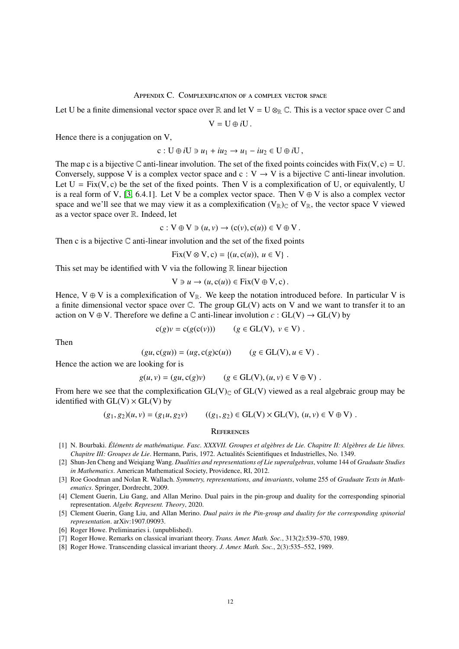### Appendix C. Complexification of a complex vector space

<span id="page-11-0"></span>Let U be a finite dimensional vector space over R and let  $V = U \otimes_R \mathbb{C}$ . This is a vector space over  $\mathbb{C}$  and

 $V = U \oplus iU$ .

Hence there is a conjugation on V,

$$
c: U \oplus iU \ni u_1 + iu_2 \to u_1 - iu_2 \in U \oplus iU,
$$

The map c is a bijective C anti-linear involution. The set of the fixed points coincides with Fix(V, c) = U.<br>Conversely suppose V is a complex vector space and  $c : V \to V$  is a bijective C anti-linear involution. Conversely, suppose V is a complex vector space and  $c: V \to V$  is a bijective  $\mathbb C$  anti-linear involution. Let  $U = Fix(V, c)$  be the set of the fixed points. Then V is a complexification of U, or equivalently, U is a real form of V, [\[3,](#page-11-4) 6.4.1]. Let V be a complex vector space. Then  $V \oplus V$  is also a complex vector space and we'll see that we may view it as a complexification  $(V_{\mathbb{R}})_{\mathbb{C}}$  of  $V_{\mathbb{R}}$ , the vector space V viewed as a vector space over R. Indeed, let

$$
c: V \oplus V \ni (u, v) \rightarrow (c(v), c(u)) \in V \oplus V.
$$

Then c is a bijective  $\mathbb C$  anti-linear involution and the set of the fixed points

 $Fix(V \otimes V, c) = \{(u, c(u)), u \in V\}.$ 

This set may be identified with V via the following  $\mathbb R$  linear bijection

$$
V \ni u \to (u, c(u)) \in Fix(V \oplus V, c).
$$

Hence,  $V \oplus V$  is a complexification of  $V_{\mathbb{R}}$ . We keep the notation introduced before. In particular V is a finite dimensional vector space over C. The group GL(V) acts on V and we want to transfer it to an action on V  $\oplus$  V. Therefore we define a  $\mathbb C$  anti-linear involution  $c : GL(V) \rightarrow GL(V)$  by

$$
c(g)v = c(g(c(v))) \qquad (g \in GL(V), \ v \in V) .
$$

Then

$$
(gu, c(gu)) = (ug, c(g)c(u)) \qquad (g \in GL(V), u \in V) .
$$

Hence the action we are looking for is

$$
g(u, v) = (gu, c(g)v) \qquad (g \in GL(V), (u, v) \in V \oplus V) .
$$

From here we see that the complexification  $GL(V)_{\mathbb{C}}$  of  $GL(V)$  viewed as a real algebraic group may be identified with  $GL(V) \times GL(V)$  by

$$
(g_1, g_2)(u, v) = (g_1u, g_2v) \qquad ((g_1, g_2) \in GL(V) \times GL(V), (u, v) \in V \oplus V).
$$

#### <span id="page-11-1"></span>**REFERENCES**

- <span id="page-11-6"></span>[1] N. Bourbaki. *Éléments de mathématique. Fasc. XXXVII. Groupes et algèbres de Lie. Chapitre II: Algèbres de Lie libres. Chapitre III: Groupes de Lie*. Hermann, Paris, 1972. Actualités Scientifiques et Industrielles, No. 1349.
- <span id="page-11-3"></span>[2] Shun-Jen Cheng and Weiqiang Wang. *Dualities and representations of Lie superalgebras*, volume 144 of *Graduate Studies in Mathematics*. American Mathematical Society, Providence, RI, 2012.
- <span id="page-11-4"></span>[3] Roe Goodman and Nolan R. Wallach. *Symmetry, representations, and invariants*, volume 255 of *Graduate Texts in Mathematics*. Springer, Dordrecht, 2009.
- <span id="page-11-5"></span>[4] Clement Guerin, Liu Gang, and Allan Merino. Dual pairs in the pin-group and duality for the corresponding spinorial representation. *Algebr. Represent. Theory*, 2020.
- [5] Clement Guerin, Gang Liu, and Allan Merino. *Dual pairs in the Pin-group and duality for the corresponding spinorial representation*. arXiv:1907.09093.
- [6] Roger Howe. Preliminaries i. (unpublished).
- <span id="page-11-2"></span>[7] Roger Howe. Remarks on classical invariant theory. *Trans. Amer. Math. Soc.*, 313(2):539–570, 1989.
- [8] Roger Howe. Transcending classical invariant theory. *J. Amer. Math. Soc.*, 2(3):535–552, 1989.